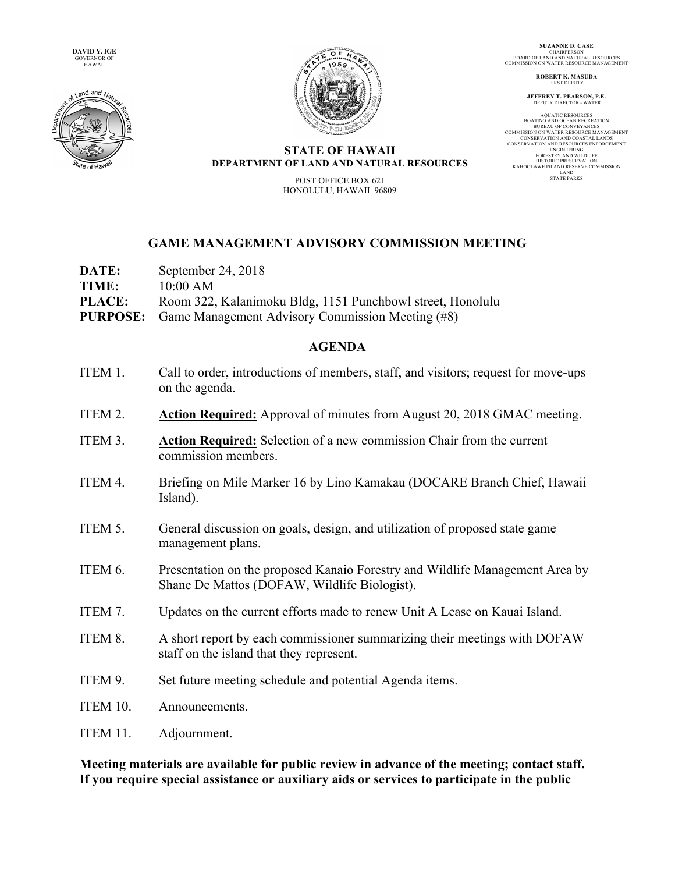**DAVID Y. IGE** GOVERNOR OF HAWAII





**SUZANNE D. CASE** CHAIRPERSON BOARD OF LAND AND NATURAL RESOURCES COMMISSION ON WATER RESOURCE MANAGEMENT

> **ROBERT K. MASUDA FIRST DEPUT**

**JEFFREY T. PEARSON, P.E.** DEPUTY DIRECTOR - WATER

AQUATIC RESOURCES BOATING AND OCEAN RECREATION BUREAU OF CONVEYANCES COMMISSION ON WATER RESOURCE MANAGEMENT CONSERVATION AND COASTAL LANDS CONSERVATION AND RESOURCES ENFORCEMENT ENGINEERING ENGINEERING<br>FORESTRY AND WILDLIFE HISTORIC PRESERVATION KAHOOLAWE ISLAND RESERVE COMMISSION LAND STATE PARKS

## **STATE OF HAWAII DEPARTMENT OF LAND AND NATURAL RESOURCES**

POST OFFICE BOX 621 HONOLULU, HAWAII 96809

## **GAME MANAGEMENT ADVISORY COMMISSION MEETING**

| DATE:         | September 24, 2018                                               |
|---------------|------------------------------------------------------------------|
| TIME:         | 10:00 AM                                                         |
| <b>PLACE:</b> | Room 322, Kalanimoku Bldg, 1151 Punchbowl street, Honolulu       |
|               | <b>PURPOSE:</b> Game Management Advisory Commission Meeting (#8) |

## **AGENDA**

- ITEM 1. Call to order, introductions of members, staff, and visitors; request for move-ups on the agenda.
- ITEM 2. **Action Required:** Approval of minutes from August 20, 2018 GMAC meeting.
- ITEM 3. **Action Required:** Selection of a new commission Chair from the current commission members.
- ITEM 4. Briefing on Mile Marker 16 by Lino Kamakau (DOCARE Branch Chief, Hawaii Island).
- ITEM 5. General discussion on goals, design, and utilization of proposed state game management plans.
- ITEM 6. Presentation on the proposed Kanaio Forestry and Wildlife Management Area by Shane De Mattos (DOFAW, Wildlife Biologist).
- ITEM 7. Updates on the current efforts made to renew Unit A Lease on Kauai Island.
- ITEM 8. A short report by each commissioner summarizing their meetings with DOFAW staff on the island that they represent.
- ITEM 9. Set future meeting schedule and potential Agenda items.
- ITEM 10. Announcements.
- ITEM 11. Adjournment.

**Meeting materials are available for public review in advance of the meeting; contact staff. If you require special assistance or auxiliary aids or services to participate in the public**